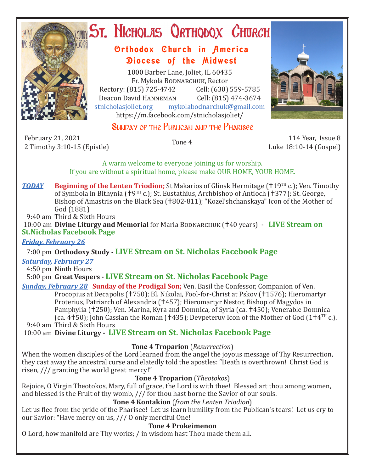

# ST. NICHOLAS QRTHODOX CHURCH

## Orthodox Church in America Diocese of the Midwest

1000 Barber Lane, Joliet, IL 60435 Fr. Mykola BODNARCHUK, Rector<br>Rectory: (815) 725-4742 Cell: (630) 559-5785 Rectory: (815) 725-4742 Cell: (630) 559-5785 Deacon David Hanneman Cell: (815) 474-3674 stnicholasjoliet.org mykolabodnarchuk@gmail.com https://m.facebook.com/stnicholasjoliet/



## SUNDAY OF THE PURLICAN AND THE PHARISEE

February 21, 2021 2 February 21, 2021<br>2 Timothy 3:10-15 (Epistle) Tone 4 114 Year, Issue 8 114 Year, Issue 8 114 Year, Issue 8 2 Timothy 3:10-15

Luke 18:10-14 (Gospel)

A warm welcome to everyone joining us for worship. If you are without a spiritual home, please make OUR HOME, YOUR HOME.

*TODAY* Beginning of the Lenten Triodion; St Makarios of Glinsk Hermitage (†19<sup>TH</sup> c.); Ven. Timothy of Symbola in Bithynia ( $\uparrow$ 9TH c.); St. Eustathius, Archbishop of Antioch ( $\uparrow$ 377); St. George, Bishop of Amastris on the Black Sea (1802-811); "Kozel'shchanskaya" Icon of the Mother of God (1881)

9:40 am Third & Sixth Hours

10:00 am **Divine Liturgy and Memorial** for Maria BODNARCHUK (†40 years) **- LIVE Stream on St.Nicholas Facebook Page**

#### *Friday, February 26*

### 7:00 pm **Orthodoxy Study - LIVE Stream on St. Nicholas Facebook Page**

#### *Saturday, February 27*

4:50 pm Ninth Hours

5:00 pm **Great Vespers - LIVE Stream on St. Nicholas Facebook Page**

*Sunday, February 28* **Sunday of the Prodigal Son;** Ven. Basil the Confessor, Companion of Ven. Procopius at Decapolis († 750); Bl. Nikolai, Fool-for-Christ at Pskov († 1576); Hieromartyr Proterius, Patriarch of Alexandria (†457); Hieromartyr Nestor, Bishop of Magydos in Pamphylia (†250); Ven. Marina, Kyra and Domnica, of Syria (ca. †450); Venerable Domnica (ca. 4<sup>†</sup>50); John Cassian the Roman (†435); Devpeteruv Icon of the Mother of God (1<sup>†4TH</sup> c.).

9:40 am Third & Sixth Hours

10:00 am **Divine Liturgy - LIVE Stream on St. Nicholas Facebook Page**

#### **Tone 4 Troparion** (*Resurrection*)

When the women disciples of the Lord learned from the angel the joyous message of Thy Resurrection, they cast away the ancestral curse and elatedly told the apostles: "Death is overthrown! Christ God is risen, /// granting the world great mercy!"

#### **Tone 4 Troparion** (*Theotokos*)

Rejoice, O Virgin Theotokos, Mary, full of grace, the Lord is with thee! Blessed art thou among women, and blessed is the Fruit of thy womb, /// for thou hast borne the Savior of our souls.

#### **Tone 4 Kontakion** (*from the Lenten Triodion*)

Let us flee from the pride of the Pharisee! Let us learn humility from the Publican's tears! Let us cry to our Savior: "Have mercy on us, /// O only merciful One!

#### **Tone 4 Prokeimenon**

O Lord, how manifold are Thy works; / in wisdom hast Thou made them all.